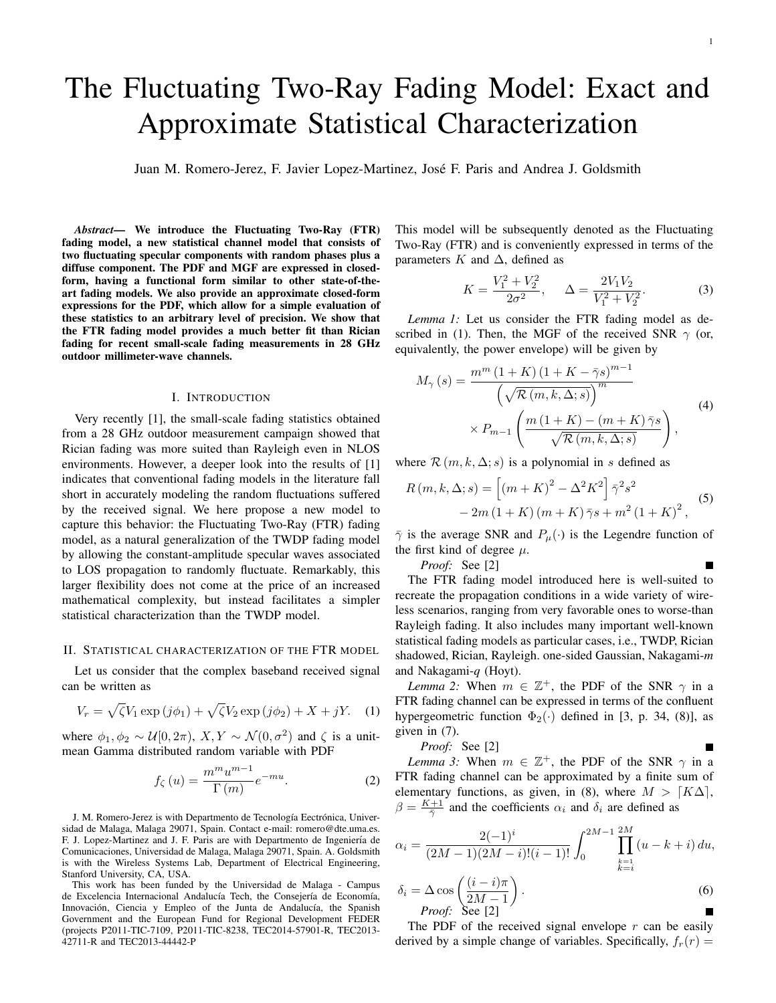Е

# The Fluctuating Two-Ray Fading Model: Exact and Approximate Statistical Characterization

Juan M. Romero-Jerez, F. Javier Lopez-Martinez, Jose F. Paris and Andrea J. Goldsmith ´

*Abstract*— We introduce the Fluctuating Two-Ray (FTR) fading model, a new statistical channel model that consists of two fluctuating specular components with random phases plus a diffuse component. The PDF and MGF are expressed in closedform, having a functional form similar to other state-of-theart fading models. We also provide an approximate closed-form expressions for the PDF, which allow for a simple evaluation of these statistics to an arbitrary level of precision. We show that the FTR fading model provides a much better fit than Rician fading for recent small-scale fading measurements in 28 GHz outdoor millimeter-wave channels.

# I. INTRODUCTION

Very recently [1], the small-scale fading statistics obtained from a 28 GHz outdoor measurement campaign showed that Rician fading was more suited than Rayleigh even in NLOS environments. However, a deeper look into the results of [1] indicates that conventional fading models in the literature fall short in accurately modeling the random fluctuations suffered by the received signal. We here propose a new model to capture this behavior: the Fluctuating Two-Ray (FTR) fading model, as a natural generalization of the TWDP fading model by allowing the constant-amplitude specular waves associated to LOS propagation to randomly fluctuate. Remarkably, this larger flexibility does not come at the price of an increased mathematical complexity, but instead facilitates a simpler statistical characterization than the TWDP model.

#### II. STATISTICAL CHARACTERIZATION OF THE FTR MODEL

Let us consider that the complex baseband received signal can be written as

$$
V_r = \sqrt{\zeta} V_1 \exp\left(j\phi_1\right) + \sqrt{\zeta} V_2 \exp\left(j\phi_2\right) + X + jY. \tag{1}
$$

where  $\phi_1, \phi_2 \sim \mathcal{U}[0, 2\pi), X, Y \sim \mathcal{N}(0, \sigma^2)$  and  $\zeta$  is a unitmean Gamma distributed random variable with PDF

$$
f_{\zeta}(u) = \frac{m^m u^{m-1}}{\Gamma(m)} e^{-mu}.
$$
 (2)

J. M. Romero-Jerez is with Departmento de Tecnología Eectrónica, Universidad de Malaga, Malaga 29071, Spain. Contact e-mail: romero@dte.uma.es. F. J. Lopez-Martinez and J. F. Paris are with Departmento de Ingeniería de Comunicaciones, Universidad de Malaga, Malaga 29071, Spain. A. Goldsmith is with the Wireless Systems Lab, Department of Electrical Engineering, Stanford University, CA, USA.

This work has been funded by the Universidad de Malaga - Campus de Excelencia Internacional Andalucía Tech, the Consejería de Economía, Innovación, Ciencia y Empleo of the Junta de Andalucía, the Spanish Government and the European Fund for Regional Development FEDER (projects P2011-TIC-7109, P2011-TIC-8238, TEC2014-57901-R, TEC2013- 42711-R and TEC2013-44442-P

This model will be subsequently denoted as the Fluctuating Two-Ray (FTR) and is conveniently expressed in terms of the parameters K and  $\Delta$ , defined as

$$
K = \frac{V_1^2 + V_2^2}{2\sigma^2}, \quad \Delta = \frac{2V_1V_2}{V_1^2 + V_2^2}.
$$
 (3)

*Lemma 1:* Let us consider the FTR fading model as described in (1). Then, the MGF of the received SNR  $\gamma$  (or, equivalently, the power envelope) will be given by

$$
M_{\gamma}(s) = \frac{m^{m} (1 + K) (1 + K - \bar{\gamma}s)^{m-1}}{\left(\sqrt{\mathcal{R}(m, k, \Delta; s)}\right)^{m}}
$$
  
\$\times P\_{m-1}\left(\frac{m (1 + K) - (m + K)\bar{\gamma}s}{\sqrt{\mathcal{R}(m, k, \Delta; s)}}\right),\$ (4)

where  $\mathcal{R}(m, k, \Delta; s)$  is a polynomial in s defined as

$$
R(m, k, \Delta; s) = [(m + K)^{2} - \Delta^{2} K^{2}] \bar{\gamma}^{2} s^{2}
$$
  
- 2m (1 + K) (m + K) \bar{\gamma} s + m^{2} (1 + K)^{2}, (5)

 $\bar{\gamma}$  is the average SNR and  $P_{\mu}(\cdot)$  is the Legendre function of the first kind of degree  $\mu$ .

*Proof:* See [2]

The FTR fading model introduced here is well-suited to recreate the propagation conditions in a wide variety of wireless scenarios, ranging from very favorable ones to worse-than Rayleigh fading. It also includes many important well-known statistical fading models as particular cases, i.e., TWDP, Rician shadowed, Rician, Rayleigh. one-sided Gaussian, Nakagami-*m* and Nakagami-*q* (Hoyt).

*Lemma 2:* When  $m \in \mathbb{Z}^+$ , the PDF of the SNR  $\gamma$  in a FTR fading channel can be expressed in terms of the confluent hypergeometric function  $\Phi_2(\cdot)$  defined in [3, p. 34, (8)], as given in (7).

*Proof:* See [2]

*Lemma 3:* When  $m \in \mathbb{Z}^+$ , the PDF of the SNR  $\gamma$  in a FTR fading channel can be approximated by a finite sum of elementary functions, as given, in (8), where  $M > [K\Delta]$ ,  $\beta = \frac{K+1}{\bar{\gamma}}$  and the coefficients  $\alpha_i$  and  $\delta_i$  are defined as

$$
\alpha_i = \frac{2(-1)^i}{(2M-1)(2M-i)!(i-1)!} \int_0^{2M-1} \prod_{\substack{k=1 \ k \neq i}}^{2M} (u - k + i) du,
$$
  

$$
\delta_i = \Delta \cos \left( \frac{(i-i)\pi}{2M-1} \right).
$$
 (6)

$$
\delta_i = \Delta \cos \left( \frac{e^{i \omega_i / n}}{2M - 1} \right). \tag{6}
$$
  
*Proof:* See [2]

The PDF of the received signal envelope  $r$  can be easily derived by a simple change of variables. Specifically,  $f_r(r) =$